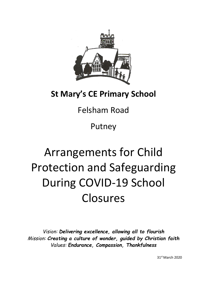

# **St Mary's CE Primary School**

# Felsham Road

Putney

# Arrangements for Child Protection and Safeguarding During COVID-19 School Closures

*Vision: Delivering excellence, allowing all to flourish Mission: Creating a culture of wonder, guided by Christian faith Values: Endurance, Compassion, Thankfulness*

31st March 2020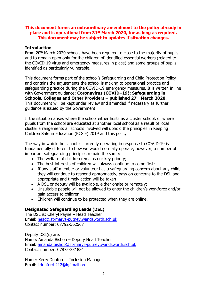#### **This document forms an extraordinary amendment to the policy already in place and is operational from 31st March 2020, for as long as required. This document may be subject to updates if situation changes.**

#### **Introduction**

From 20th March 2020 schools have been required to close to the majority of pupils and to remain open only for the children of identified essential workers (related to the COVID-19 virus and emergency measures in place) and some groups of pupils identified as particularly vulnerable.

This document forms part of the school's Safeguarding and Child Protection Policy and contains the adjustments the school is making to operational practice and safeguarding practice during the COVID-19 emergency measures. It is written in line with Government guidance: **Coronavirus (COVID–19): Safeguarding in Schools, Colleges and Other Providers – published 27th March 2020.**  This document will be kept under review and amended if necessary as further guidance is issued by the Government.

If the situation arises where the school either hosts as a cluster school, or where pupils from the school are educated at another local school as a result of local cluster arrangements all schools involved will uphold the principles in Keeping Children Safe in Education (KCSiE) 2019 and this policy.

The way in which the school is currently operating in response to COVID-19 is fundamentally different to how we would normally operate, however, a number of important safeguarding principles remain the same:

- The welfare of children remains our key priority;
- The best interests of children will always continue to come first;
- If any staff member or volunteer has a safeguarding concern about any child, they will continue to respond appropriately, pass on concerns to the DSL and appropriate and timely action will be taken
- A DSL or deputy will be available, either onsite or remotely;
- Unsuitable people will not be allowed to enter the children's workforce and/or gain access to children;
- Children will continue to be protected when they are online.

# **Designated Safeguarding Leads (DSL)**

The DSL is: Cheryl Payne – Head Teacher Email: head@st-marys-putney.wandsworth.sch.uk Contact number: 07792-562567

Deputy DSL(s) are: Name: Amanda Bishop – Deputy Head Teacher Email: amanda.bishop@st-marys-putney.wandsworth.sch.uk Contact number: 07875-331834

Name: Kerry Dunford – Inclusion Manager Email: kdunford.212@lgflmail.org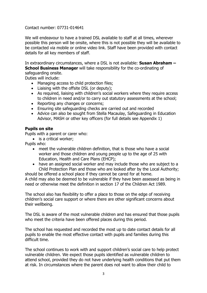#### Contact number: 07731-014641

We will endeavour to have a trained DSL available to staff at all times, wherever possible this person will be onsite, where this is not possible they will be available to be contacted via mobile or online video link. Staff have been provided with contact details for all key members of staff.

In extraordinary circumstances, where a DSL is not available: **Susan Abraham – School Business Manager** will take responsibility for the co-ordinating of safeguarding onsite.

Duties will include:

- Managing access to child protection files;
- Liaising with the offsite DSL (or deputy);
- As required, liaising with children's social workers where they require access to children in need and/or to carry out statutory assessments at the school;
- Reporting any changes or concerns;
- Ensuring site safeguarding checks are carried out and recorded
- Advice can also be sought from Stella Macaulay, Safeguarding in Education Advisor, MASH or other key officers (for full details see Appendix 1)

#### **Pupils on site**

Pupils with a parent or carer who:

• is a critical worker;

Pupils who:

- meet the vulnerable children definition, that is those who have a social worker and those children and young people up to the age of 25 with Education, Health and Care Plans (EHCP);
- have an assigned social worker and may include those who are subject to a Child Protection Plan and those who are looked after by the Local Authority;

should be offered a school place if they cannot be cared for at home. A child may also be deemed to be vulnerable if they have been assessed as being in need or otherwise meet the definition in section 17 of the Children Act 1989.

The school also has flexibility to offer a place to those on the edge of receiving children's social care support or where there are other significant concerns about their wellbeing.

The DSL is aware of the most vulnerable children and has ensured that those pupils who meet the criteria have been offered places during this period.

The school has requested and recorded the most up to date contact details for all pupils to enable the most effective contact with pupils and families during this difficult time.

The school continues to work with and support children's social care to help protect vulnerable children. We expect those pupils identified as vulnerable children to attend school, provided they do not have underlying health conditions that put them at risk. In circumstances where the parent does not want to allow their child to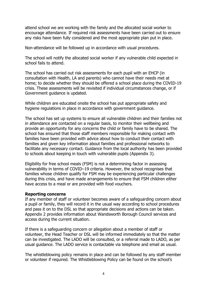attend school we are working with the family and the allocated social worker to encourage attendance. If required risk assessments have been carried out to ensure any risks have been fully considered and the most appropriate plan put in place.

Non-attendance will be followed up in accordance with usual procedures.

The school will notify the allocated social worker if any vulnerable child expected in school fails to attend.

The school has carried out risk assessments for each pupil with an EHCP (in consultation with Health, LA and parents) who cannot have their needs met at home; to decide whether they should be offered a school place during the COVID-19 crisis. These assessments will be revisited if individual circumstances change, or if Government guidance is updated.

While children are educated onsite the school has put appropriate safety and hygiene regulations in place in accordance with government guidance.

The school has set up systems to ensure all vulnerable children and their families not in attendance are contacted on a regular basis, to monitor their wellbeing and provide an opportunity for any concerns the child or family have to be shared. The school has ensured that those staff members responsible for making contact with families have been provided with advice about how to conduct their contact with families and given key information about families and professional networks to facilitate any necessary contact. Guidance from the local authority has been provided to schools about keeping in touch with vulnerable pupils (Appendix 3).

Eligibility for free school meals (FSM) is not a determining factor in assessing vulnerability in terms of COVID–19 criteria. However, the school recognises that families whose children qualify for FSM may be experiencing particular challenges during this crisis, and have made arrangements to ensure that FSM children either have access to a meal or are provided with food vouchers.

#### **Reporting concerns**

If any member of staff or volunteer becomes aware of a safeguarding concern about a pupil or family, they will record it in the usual way according to school procedures and pass it on to the DSL so that appropriate decisions and actions can be taken. Appendix 2 provides information about Wandsworth Borough Council services and access during the current situation.

If there is a safeguarding concern or allegation about a member of staff or volunteer, the Head Teacher or DSL will be informed immediately so that the matter can be investigated. The LADO will be consulted, or a referral made to LADO, as per usual guidance. The LADO service is contactable via telephone and email as usual.

The whistleblowing policy remains in place and can be followed by any staff member or volunteer if required. The Whistleblowing Policy can be found on the school's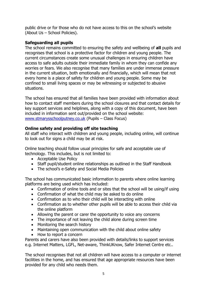public drive or for those who do not have access to this on the school's website (About Us – School Policies).

#### **Safeguarding all pupils**

The school remains committed to ensuring the safety and wellbeing of **all** pupils and recognises that school is a protective factor for children and young people. The current circumstances create some unusual challenges in ensuring children have access to safe adults outside their immediate family in whom they can confide any worries or fears. We also recognise that many families are under immense pressure in the current situation, both emotionally and financially, which will mean that not every home is a place of safety for children and young people. Some may be confined to small living spaces or may be witnessing or subjected to abusive situations.

The school has ensured that all families have been provided with information about how to contact staff members during the school closures and that contact details for key support services and helplines, along with a copy of this document, have been included in information sent out/provided on the school website: www.stmarysschoolputney.co.uk (Pupils – Class Focus)

# **Online safety and providing off site teaching**

All staff who interact with children and young people, including online, will continue to look out for signs a child may be at risk.

Online teaching should follow usual principles for safe and acceptable use of technology. This includes, but is not limited to:

- Acceptable Use Policy
- Staff pupil/student online relationships as outlined in the Staff Handbook
- The school's e-Safety and Social Media Policies

The school has communicated basic information to parents where online learning platforms are being used which has included:

- Confirmation of online tools and or sites that the school will be using/if using
- Confirmation of what the child may be asked to do online
- Confirmation as to who their child will be interacting with online
- Confirmation as to whether other pupils will be able to access their child via the online platform
- Allowing the parent or carer the opportunity to voice any concerns
- The importance of not leaving the child alone during screen time
- Monitoring the search history
- Maintaining open communication with the child about online safety
- How to report a concern

Parents and carers have also been provided with details/links to support services e.g. Internet Matters, LGFL, Net-aware, ThinkUKnow, Safer Internet Centre etc..

The school recognises that not all children will have access to a computer or internet facilities in the home, and has ensured that age appropriate resources have been provided for any child who needs them.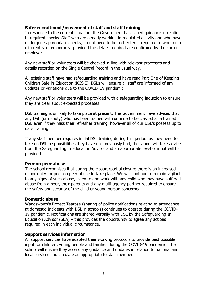#### **Safer recruitment/movement of staff and staff training**

In response to the current situation, the Government has issued guidance in relation to required checks. Staff who are already working in regulated activity and who have undergone appropriate checks, do not need to be rechecked if required to work on a different site temporarily, provided the details required are confirmed by the current employer.

Any new staff or volunteers will be checked in line with relevant processes and details recorded on the Single Central Record in the usual way.

All existing staff have had safeguarding training and have read Part One of Keeping Children Safe in Education (KCSiE). DSLs will ensure all staff are informed of any updates or variations due to the COVID–19 pandemic.

Any new staff or volunteers will be provided with a safeguarding induction to ensure they are clear about expected processes.

DSL training is unlikely to take place at present. The Government have advised that any DSL (or deputy) who has been trained will continue to be classed as a trained DSL even if they miss their refresher training, however all of our DSL's possess up to date training.

If any staff member requires initial DSL training during this period, as they need to take on DSL responsibilities they have not previously had, the school will take advice from the Safeguarding in Education Advisor and an appropriate level of input will be provided.

#### **Peer on peer abuse**

The school recognises that during the closure/partial closure there is an increased opportunity for peer on peer abuse to take place. We will continue to remain vigilant to any signs of such abuse, listen to and work with any child who may have suffered abuse from a peer, their parents and any multi-agency partner required to ensure the safety and security of the child or young person concerned.

#### **Domestic abuse**

Wandsworth's Project Tearose (sharing of police notifications relating to attendance at domestic Incidents with DSL in schools) continues to operate during the COVID-19 pandemic. Notifications are shared verbally with DSL by the Safeguarding In Education Advisor (SEA) – this provides the opportunity to agree any actions required in each individual circumstance.

#### **Support services information**

All support services have adapted their working protocols to provide best possible input for children, young people and families during the COVID-19 pandemic. The school will ensure they access any guidance and updates in relation to national and local services and circulate as appropriate to staff members.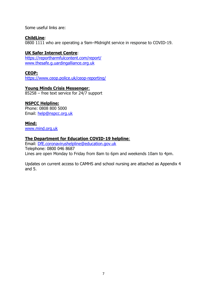Some useful links are:

#### **ChildLine**:

0800 1111 who are operating a 9am–Midnight service in response to COVID-19.

#### **UK Safer Internet Centre**:

https://reportharmfulcontent.com/report/ www.thesafe.g.uardingalliance.org.uk

#### **CEOP:**

https://www.ceop.police.uk/ceop-reporting/

#### **Young Minds Crisis Messenger**:

85258 – free text service for 24/7 support

#### **NSPCC Helpline:**

Phone: 0808 800 5000 Email: help@nspcc.org.uk

#### **Mind:**

www.mind.org.uk

#### **The Department for Education COVID-19 helpline**:

Email: DfE.coronavirushelpline@education.gov.uk Telephone: 0800 046 8687 Lines are open Monday to Friday from 8am to 6pm and weekends 10am to 4pm.

Updates on current access to CAMHS and school nursing are attached as Appendix 4 and 5.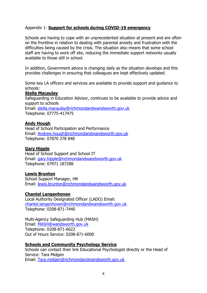#### Appendix 1: **Support for schools during COVID-19 emergency**

Schools are having to cope with an unprecedented situation at present and are often on the frontline in relation to dealing with parental anxiety and frustration with the difficulties being caused by the crisis. The situation also means that some school staff are having to work off site, reducing the immediate support networks usually available to those still in school.

In addition, Government advice is changing daily as the situation develops and this provides challenges in ensuring that colleagues are kept effectively updated.

Some key LA officers and services are available to provide support and guidance to schools:

#### **Stella Macaulay**

Safeguarding in Education Advisor, continues to be available to provide advice and support to schools

Email: stella.macaulay@richmondandwandsworth.gov.uk Telephone: 07775-417475

#### **Andy Hough**

Head of School Participation and Performance Email: Andrew.hough@richmondandwandsworth.gov.uk Telephone: 07870 278 848

#### **Gary Hipple**

Head of School Support and School IT Email: gary.hipple@richmondandwandsworth.gov.uk Telephone: 07971 187288

#### **Lewis Brunton**

School Support Manager, HR Email: lewis.brunton@richmondandwandsworth.gov.uk

#### **Chantel Langenhoven**

Local Authority Designated Officer (LADO) Email: chantel.langenhoven@richmondandwandsworth.gov.uk Telephone: 0208-871-7440

Multi-Agency Safeguarding Hub (MASH) Email: MASH@wandsworth.gov.uk Telephone: 0208-871-6622 Out of Hours Service: 0208-871-6000

#### **Schools and Community Psychology Service**

Schools can contact their link Educational Psychologist directly or the Head of Service: Tara Midgen Email: Tara.midgen@richmondandwandsworth.gov.uk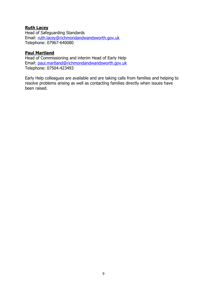#### **Ruth Lacey**

Head of Safeguarding Standards Email: ruth.lacey@richmondandwandsworth.gov.uk Telephone: 07967-640080

#### **Paul Martland**

Head of Commissioning and interim Head of Early Help Email: paul.martland@richmondandwandsworth.gov.uk Telephone: 07504-423493

Early Help colleagues are available and are taking calls from families and helping to resolve problems arising as well as contacting families directly when issues have been raised.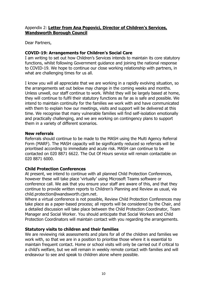#### Appendix 2: **Letter from Ana Popovici, Director of Children's Services, Wandsworth Borough Council**

Dear Partners,

#### **COVID-19: Arrangements for Children's Social Care**

I am writing to set out how Children's Services intends to maintain its core statutory functions, whilst following Government guidance and joining the national response to COVID-19. We hope to continue our close working relationship with partners, in what are challenging times for us all.

I know you will all appreciate that we are working in a rapidly evolving situation, so the arrangements set out below may change in the coming weeks and months. Unless unwell, our staff continue to work. Whilst they will be largely based at home, they will continue to fulfil their statutory functions as far as is safe and possible. We intend to maintain continuity for the families we work with and have communicated with them to explain how our meetings, visits and support will be delivered at this time. We recognise that many vulnerable families will find self-isolation emotionally and practically challenging, and we are working on contingency plans to support them in a variety of different scenarios.

#### **New referrals**

Referrals should continue to be made to the MASH using the Multi Agency Referral Form (MARF). The MASH capacity will be significantly reduced so referrals will be prioritised according to immediate and acute risk. MASH can continue to be contacted on 020 8871 6622. The Out Of Hours service will remain contactable on 020 8871 6000.

# **Child Protection Conferences**

At present, we intend to continue with all planned Child Protection Conferences, however these will take place 'virtually' using Microsoft Teams software or conference call. We ask that you ensure your staff are aware of this, and that they continue to provide written reports to Children's Planning and Review as usual, via child.protection@wandsworth.cjsm.net.

Where a virtual conference is not possible, Review Child Protection Conferences may take place as a paper-based process; all reports will be considered by the Chair, and a detailed discussion will take place between the Child Protection Coordinator, Team Manager and Social Worker. You should anticipate that Social Workers and Child Protection Coordinators will maintain contact with you regarding the arrangements.

#### **Statutory visits to children and their families**

We are reviewing risk assessments and plans for all of the children and families we work with, so that we are in a position to prioritise those where it is essential to maintain frequent contact. Home or school visits will only be carried out if critical to a child's welfare, but we will remain in weekly remote contact with families and will endeavour to see and speak to children alone where possible.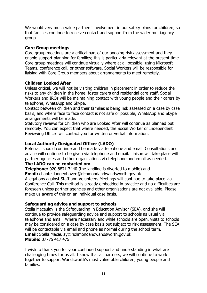We would very much value partners' involvement in our safety plans for children, so that families continue to receive contact and support from the wider multiagency group.

#### **Core Group meetings**

Core group meetings are a critical part of our ongoing risk assessment and they enable support planning for families; this is particularly relevant at the present time. Core group meetings will continue virtually where at all possible, using Microsoft Teams, conference call, or other software. Social Workers will be responsible for liaising with Core Group members about arrangements to meet remotely.

#### **Children Looked After**

Unless critical, we will not be visiting children in placement in order to reduce the risks to any children in the home, foster carers and residential care staff. Social Workers and IROs will be maintaining contact with young people and their carers by telephone, WhatsApp and Skype.

Contact between children and their families is being risk assessed on a case by case basis, and where face to face contact is not safe or possible, WhatsApp and Skype arrangements will be made.

Statutory reviews for Children who are Looked After will continue as planned but remotely. You can expect that where needed, the Social Worker or Independent Reviewing Officer will contact you for written or verbal information.

# **Local Authority Designated Officer (LADO)**

Referrals should continue and be made via telephone and email. Consultations and advice will continue to be given via telephone and email. Liaison will take place with partner agencies and other organisations via telephone and email as needed.

#### **The LADO can be contacted on:**

**Telephone:** 020 8871 7440 (the landline is diverted to mobile) and **Email:** chantel.langenhoven@richmondandwandsworth.gov.uk Allegations against Staff and Volunteers Meetings will continue to take place via Conference Call. This method is already embedded in practice and no difficulties are foreseen unless partner agencies and other organisations are not available. Please make us aware of this on an individual case basis.

#### **Safeguarding advice and support to schools**

Stella Macaulay is the Safeguarding in Education Advisor (SEA), and she will continue to provide safeguarding advice and support to schools as usual via telephone and email. Where necessary and while schools are open, visits to schools may be considered on a case by case basis but subject to risk assessment. The SEA will be contactable via email and phone as normal during the school term. **Email:** Stella.Macaulay@richmondandwandsworth.gov.uk **Mobile:** 07775 417 475

I wish to thank you for your continued support and understanding in what are challenging times for us all. I know that as partners, we will continue to work together to support Wandsworth's most vulnerable children, young people and families.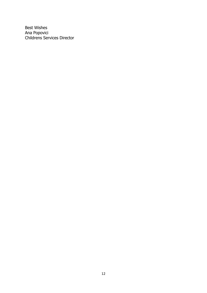Best Wishes Ana Popovici Childrens Services Director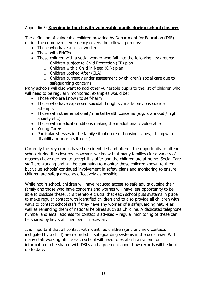### Appendix 3: **Keeping in touch with vulnerable pupils during school closures**

The definition of vulnerable children provided by Department for Education (DfE) during the coronavirus emergency covers the following groups:

- Those who have a social worker
- Those with EHCPs
- Those children with a social worker who fall into the following key groups:
	- o Children subject to Child Protection (CP) plan
	- $\circ$  Children with a Child in Need (CiN) plan
	- o Children Looked After (CLA)
	- o Children currently under assessment by children's social care due to safeguarding concerns

Many schools will also want to add other vulnerable pupils to the list of children who will need to be regularly monitored; examples would be:

- Those who are known to self-harm
- Those who have expressed suicidal thoughts / made previous suicide attempts
- Those with other emotional / mental health concerns (e.g. low mood / high anxiety etc.)
- Those with medical conditions making them additionally vulnerable
- Young Carers
- Particular stresses in the family situation (e.g. housing issues, sibling with disability or poor health etc.)

Currently the key groups have been identified and offered the opportunity to attend school during the closures. However, we know that many families (for a variety of reasons) have declined to accept this offer and the children are at home. Social Care staff are working and will be continuing to monitor those children known to them, but value schools' continued involvement in safety plans and monitoring to ensure children are safeguarded as effectively as possible.

While not in school, children will have reduced access to safe adults outside their family and those who have concerns and worries will have less opportunity to be able to disclose these. It is therefore crucial that each school puts systems in place to make regular contact with identified children and to also provide all children with ways to contact school staff if they have any worries of a safeguarding nature as well as reminding them of national helplines such as Childline. A dedicated telephone number and email address for contact is advised – regular monitoring of these can be shared by key staff members if necessary.

It is important that all contact with identified children (and any new contacts instigated by a child) are recorded in safeguarding systems in the usual way. With many staff working offsite each school will need to establish a system for information to be shared with DSLs and agreement about how records will be kept up to date.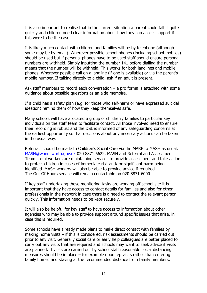It is also important to realise that in the current situation a parent could fall ill quite quickly and children need clear information about how they can access support if this were to be the case.

It is likely much contact with children and families will be by telephone (although some may be by email). Wherever possible school phones (including school mobiles) should be used but if personal phones have to be used staff should ensure personal numbers are withheld. Simply inputting the number 141 before dialling the number means that the number will be withheld. This works for both landlines and mobile phones. Wherever possible call on a landline (if one is available) or via the parent's mobile number. If talking directly to a child, ask if an adult is present.

Ask staff members to record each conversation  $-$  a pro forma is attached with some guidance about possible questions as an aide memoire.

If a child has a safety plan (e.g. for those who self-harm or have expressed suicidal ideation) remind them of how they keep themselves safe.

Many schools will have allocated a group of children / families to particular key individuals on the staff team to facilitate contact. All those involved need to ensure their recording is robust and the DSL is informed of any safeguarding concerns at the earliest opportunity so that decisions about any necessary actions can be taken in the usual way.

Referrals should be made to Children's Social Care via the MARF to MASH as usual. MASH@wandsworth.gov.uk 020 8871 6622. MASH and Referral and Assessment Team social workers are maintaining services to provide assessment and take action to protect children in cases of immediate risk and/ or significant harm being identified. MASH workers will also be able to provide advice if required. The Out Of Hours service will remain contactable on 020 8871 6000.

If key staff undertaking these monitoring tasks are working off school site it is important that they have access to contact details for families and also for other professionals in the network in case there is a need to contact the relevant person quickly. This information needs to be kept securely.

It will also be helpful for key staff to have access to information about other agencies who may be able to provide support around specific issues that arise, in case this is required.

Some schools have already made plans to make direct contact with families by making home visits – if this is considered, risk assessments should be carried out prior to any visit. Generally social care or early help colleagues are better placed to carry out any visits that are required and schools may want to seek advice if visits are planned. If visits are carried out by school staff reasonable social distancing measures should be in place – for example doorstep visits rather than entering family homes and staying at the recommended distance from family members.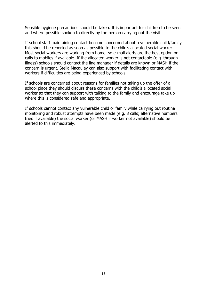Sensible hygiene precautions should be taken. It is important for children to be seen and where possible spoken to directly by the person carrying out the visit.

If school staff maintaining contact become concerned about a vulnerable child/family this should be reported as soon as possible to the child's allocated social worker. Most social workers are working from home, so e-mail alerts are the best option or calls to mobiles if available. If the allocated worker is not contactable (e.g. through illness) schools should contact the line manager if details are known or MASH if the concern is urgent. Stella Macaulay can also support with facilitating contact with workers if difficulties are being experienced by schools.

If schools are concerned about reasons for families not taking up the offer of a school place they should discuss these concerns with the child's allocated social worker so that they can support with talking to the family and encourage take up where this is considered safe and appropriate.

If schools cannot contact any vulnerable child or family while carrying out routine monitoring and robust attempts have been made (e.g. 3 calls; alternative numbers tried if available) the social worker (or MASH if worker not available) should be alerted to this immediately.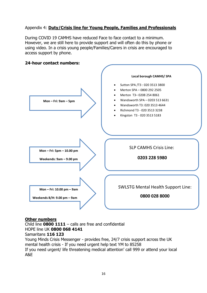# Appendix 4: **Duty/Crisis line for Young People, Families and Professionals**

During COVID 19 CAMHS have reduced Face to face contact to a minimum. However, we are still here to provide support and will often do this by phone or using video. In a crisis young people/Families/Carers in crisis are encouraged to access support by phone.



#### **24-hour contact numbers:**

#### **Other numbers**

Child line **0800 1111** – calls are free and confidential HOPE line UK **0800 068 4141**

#### Samaritans **116 123**

Young Minds Crisis Messenger - provides free, 24/7 crisis support across the UK mental health crisis - If you need urgent help text YM to 85258 If you need urgent/ life threatening medical attention' call 999 or attend your local A&E